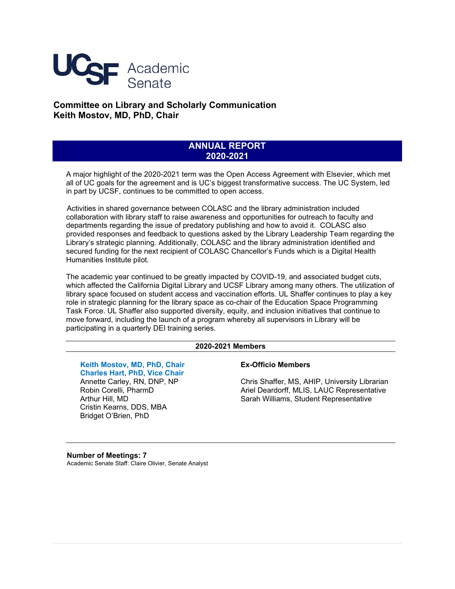

# **Committee on Library and Scholarly Communication Keith Mostov, MD, PhD, Chair**

# **ANNUAL REPORT 2020-2021**

A major highlight of the 2020-2021 term was the Open Access Agreement with Elsevier, which met all of UC goals for the agreement and is UC's biggest transformative success. The UC System, led in part by UCSF, continues to be committed to open access.

Activities in shared governance between COLASC and the library administration included collaboration with library staff to raise awareness and opportunities for outreach to faculty and departments regarding the issue of predatory publishing and how to avoid it. COLASC also provided responses and feedback to questions asked by the Library Leadership Team regarding the Library's strategic planning. Additionally, COLASC and the library administration identified and secured funding for the next recipient of COLASC Chancellor's Funds which is a Digital Health Humanities Institute pilot.

The academic year continued to be greatly impacted by COVID-19, and associated budget cuts, which affected the California Digital Library and UCSF Library among many others. The utilization of library space focused on student access and vaccination efforts. UL Shaffer continues to play a key role in strategic planning for the library space as co-chair of the Education Space Programming Task Force. UL Shaffer also supported diversity, equity, and inclusion initiatives that continue to move forward, including the launch of a program whereby all supervisors in Library will be participating in a quarterly DEI training series.

### **2020-2021 Members**

**Keith Mostov, MD, PhD, Chair Charles Hart, PhD, Vice Chair** Annette Carley, RN, DNP, NP Robin Corelli, PharmD Arthur Hill, MD Cristin Kearns, DDS, MBA Bridget O'Brien, PhD

### **Ex-Officio Members**

Chris Shaffer, MS, AHIP, University Librarian Ariel Deardorff, MLIS, LAUC Representative Sarah Williams, Student Representative

**Number of Meetings: 7** Academic Senate Staff: Claire Olivier, Senate Analyst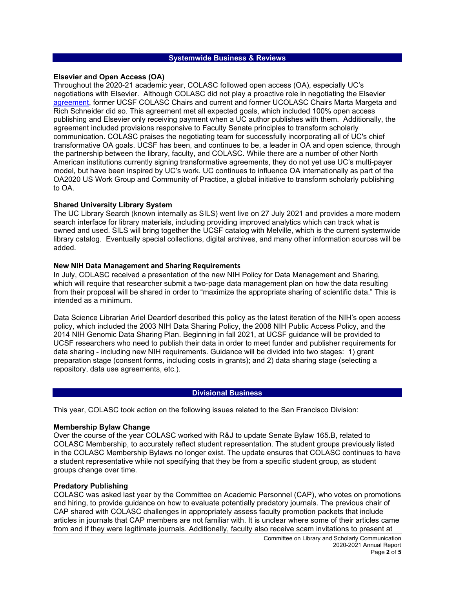### **Systemwide Business & Reviews**

### **Elsevier and Open Access (OA)**

Throughout the 2020-21 academic year, COLASC followed open access (OA), especially UC's negotiations with Elsevier. Although COLASC did not play a proactive role in negotiating the Elsevier [agreement,](https://osc.universityofcalifornia.edu/uc-publisher-relationships/elsevier-oa-agreement/) former UCSF COLASC Chairs and current and former UCOLASC Chairs Marta Margeta and Rich Schneider did so. This agreement met all expected goals, which included 100% open access publishing and Elsevier only receiving payment when a UC author publishes with them. Additionally, the agreement included provisions responsive to Faculty Senate principles to transform scholarly communication. COLASC praises the negotiating team for successfully incorporating all of UC's chief transformative OA goals. UCSF has been, and continues to be, a leader in OA and open science, through the partnership between the library, faculty, and COLASC. While there are a number of other North American institutions currently signing transformative agreements, they do not yet use UC's multi-payer model, but have been inspired by UC's work. UC continues to influence OA internationally as part of the OA2020 US Work Group and Community of Practice, a global initiative to transform scholarly publishing to OA.

### **Shared University Library System**

The UC Library Search (known internally as SILS) went live on 27 July 2021 and provides a more modern search interface for library materials, including providing improved analytics which can track what is owned and used. SILS will bring together the UCSF catalog with Melville, which is the current systemwide library catalog. Eventually special collections, digital archives, and many other information sources will be added.

### **New NIH Data Management and Sharing Requirements**

In July, COLASC received a presentation of the new NIH Policy for Data Management and Sharing, which will require that researcher submit a two-page data management plan on how the data resulting from their proposal will be shared in order to "maximize the appropriate sharing of scientific data." This is intended as a minimum.

Data Science Librarian Ariel Deardorf described this policy as the latest iteration of the NIH's open access policy, which included the 2003 NIH Data Sharing Policy, the 2008 NIH Public Access Policy, and the 2014 NIH Genomic Data Sharing Plan. Beginning in fall 2021, at UCSF guidance will be provided to UCSF researchers who need to publish their data in order to meet funder and publisher requirements for data sharing - including new NIH requirements. Guidance will be divided into two stages: 1) grant preparation stage (consent forms, including costs in grants); and 2) data sharing stage (selecting a repository, data use agreements, etc.).

### **Divisional Business**

This year, COLASC took action on the following issues related to the San Francisco Division:

### **Membership Bylaw Change**

Over the course of the year COLASC worked with R&J to update Senate Bylaw 165.B, related to COLASC Membership, to accurately reflect student representation. The student groups previously listed in the COLASC Membership Bylaws no longer exist. The update ensures that COLASC continues to have a student representative while not specifying that they be from a specific student group, as student groups change over time.

### **Predatory Publishing**

COLASC was asked last year by the Committee on Academic Personnel (CAP), who votes on promotions and hiring, to provide guidance on how to evaluate potentially predatory journals. The previous chair of CAP shared with COLASC challenges in appropriately assess faculty promotion packets that include articles in journals that CAP members are not familiar with. It is unclear where some of their articles came from and if they were legitimate journals. Additionally, faculty also receive scam invitations to present at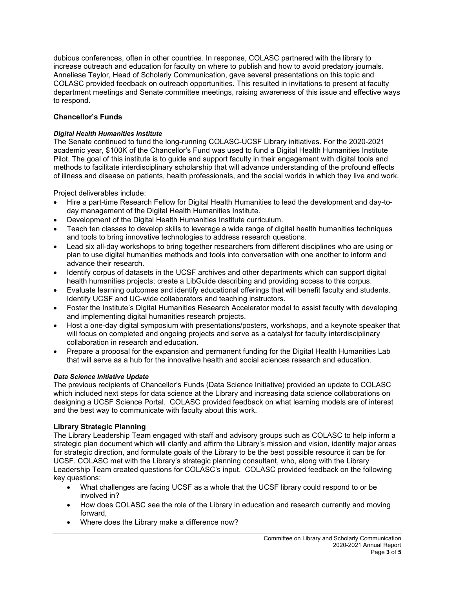dubious conferences, often in other countries. In response, COLASC partnered with the library to increase outreach and education for faculty on where to publish and how to avoid predatory journals. Anneliese Taylor, Head of Scholarly Communication, gave several presentations on this topic and COLASC provided feedback on outreach opportunities. This resulted in invitations to present at faculty department meetings and Senate committee meetings, raising awareness of this issue and effective ways to respond.

# **Chancellor's Funds**

# *Digital Health Humanities Institute*

The Senate continued to fund the long-running COLASC-UCSF Library initiatives. For the 2020-2021 academic year, \$100K of the Chancellor's Fund was used to fund a Digital Health Humanities Institute Pilot. The goal of this institute is to guide and support faculty in their engagement with digital tools and methods to facilitate interdisciplinary scholarship that will advance understanding of the profound effects of illness and disease on patients, health professionals, and the social worlds in which they live and work.

Project deliverables include:

- Hire a part-time Research Fellow for Digital Health Humanities to lead the development and day-today management of the Digital Health Humanities Institute.
- Development of the Digital Health Humanities Institute curriculum.
- Teach ten classes to develop skills to leverage a wide range of digital health humanities techniques and tools to bring innovative technologies to address research questions.
- Lead six all-day workshops to bring together researchers from different disciplines who are using or plan to use digital humanities methods and tools into conversation with one another to inform and advance their research.
- Identify corpus of datasets in the UCSF archives and other departments which can support digital health humanities projects; create a LibGuide describing and providing access to this corpus.
- Evaluate learning outcomes and identify educational offerings that will benefit faculty and students. Identify UCSF and UC-wide collaborators and teaching instructors.
- Foster the Institute's Digital Humanities Research Accelerator model to assist faculty with developing and implementing digital humanities research projects.
- Host a one-day digital symposium with presentations/posters, workshops, and a keynote speaker that will focus on completed and ongoing projects and serve as a catalyst for faculty interdisciplinary collaboration in research and education.
- Prepare a proposal for the expansion and permanent funding for the Digital Health Humanities Lab that will serve as a hub for the innovative health and social sciences research and education.

## *Data Science Initiative Update*

The previous recipients of Chancellor's Funds (Data Science Initiative) provided an update to COLASC which included next steps for data science at the Library and increasing data science collaborations on designing a UCSF Science Portal. COLASC provided feedback on what learning models are of interest and the best way to communicate with faculty about this work.

## **Library Strategic Planning**

The Library Leadership Team engaged with staff and advisory groups such as COLASC to help inform a strategic plan document which will clarify and affirm the Library's mission and vision, identify major areas for strategic direction, and formulate goals of the Library to be the best possible resource it can be for UCSF. COLASC met with the Library's strategic planning consultant, who, along with the Library Leadership Team created questions for COLASC's input. COLASC provided feedback on the following key questions:

- What challenges are facing UCSF as a whole that the UCSF library could respond to or be involved in?
- How does COLASC see the role of the Library in education and research currently and moving forward,
- Where does the Library make a difference now?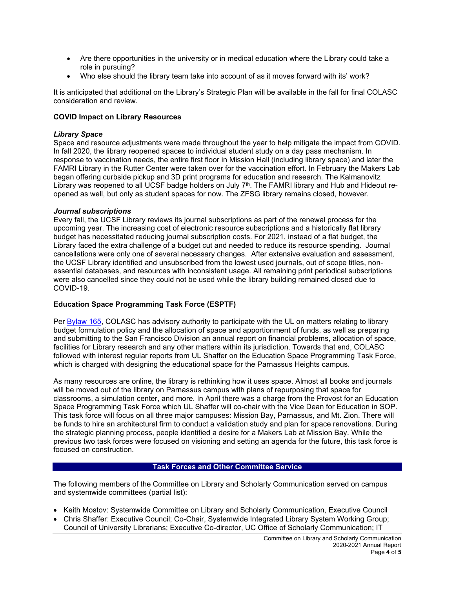- Are there opportunities in the university or in medical education where the Library could take a role in pursuing?
- Who else should the library team take into account of as it moves forward with its' work?

It is anticipated that additional on the Library's Strategic Plan will be available in the fall for final COLASC consideration and review.

### **COVID Impact on Library Resources**

### *Library Space*

Space and resource adjustments were made throughout the year to help mitigate the impact from COVID. In fall 2020, the library reopened spaces to individual student study on a day pass mechanism. In response to vaccination needs, the entire first floor in Mission Hall (including library space) and later the FAMRI Library in the Rutter Center were taken over for the vaccination effort. In February the Makers Lab began offering curbside pickup and 3D print programs for education and research. The Kalmanovitz Library was reopened to all UCSF badge holders on July 7<sup>th</sup>. The FAMRI library and Hub and Hideout reopened as well, but only as student spaces for now. The ZFSG library remains closed, however.

### *Journal subscriptions*

Every fall, the UCSF Library reviews its journal subscriptions as part of the renewal process for the upcoming year. The increasing cost of electronic resource subscriptions and a historically flat library budget has necessitated reducing journal subscription costs. For 2021, instead of a flat budget, the Library faced the extra challenge of a budget cut and needed to reduce its resource spending. Journal cancellations were only one of several necessary changes. After extensive evaluation and assessment, the UCSF Library identified and unsubscribed from the lowest used journals, out of scope titles, nonessential databases, and resources with inconsistent usage. All remaining print periodical subscriptions were also cancelled since they could not be used while the library building remained closed due to COVID-19.

## **Education Space Programming Task Force (ESPTF)**

Per [Bylaw 165,](https://senate.ucsf.edu/bylaws#no165) COLASC has advisory authority to participate with the UL on matters relating to library budget formulation policy and the allocation of space and apportionment of funds, as well as preparing and submitting to the San Francisco Division an annual report on financial problems, allocation of space, facilities for Library research and any other matters within its jurisdiction. Towards that end, COLASC followed with interest regular reports from UL Shaffer on the Education Space Programming Task Force, which is charged with designing the educational space for the Parnassus Heights campus.

As many resources are online, the library is rethinking how it uses space. Almost all books and journals will be moved out of the library on Parnassus campus with plans of repurposing that space for classrooms, a simulation center, and more. In April there was a charge from the Provost for an Education Space Programming Task Force which UL Shaffer will co-chair with the Vice Dean for Education in SOP. This task force will focus on all three major campuses: Mission Bay, Parnassus, and Mt. Zion. There will be funds to hire an architectural firm to conduct a validation study and plan for space renovations. During the strategic planning process, people identified a desire for a Makers Lab at Mission Bay. While the previous two task forces were focused on visioning and setting an agenda for the future, this task force is focused on construction.

### **Task Forces and Other Committee Service**

The following members of the Committee on Library and Scholarly Communication served on campus and systemwide committees (partial list):

- Keith Mostov: Systemwide Committee on Library and Scholarly Communication, Executive Council
- Chris Shaffer: Executive Council; Co-Chair, Systemwide Integrated Library System Working Group; Council of University Librarians; Executive Co-director, UC Office of Scholarly Communication; IT